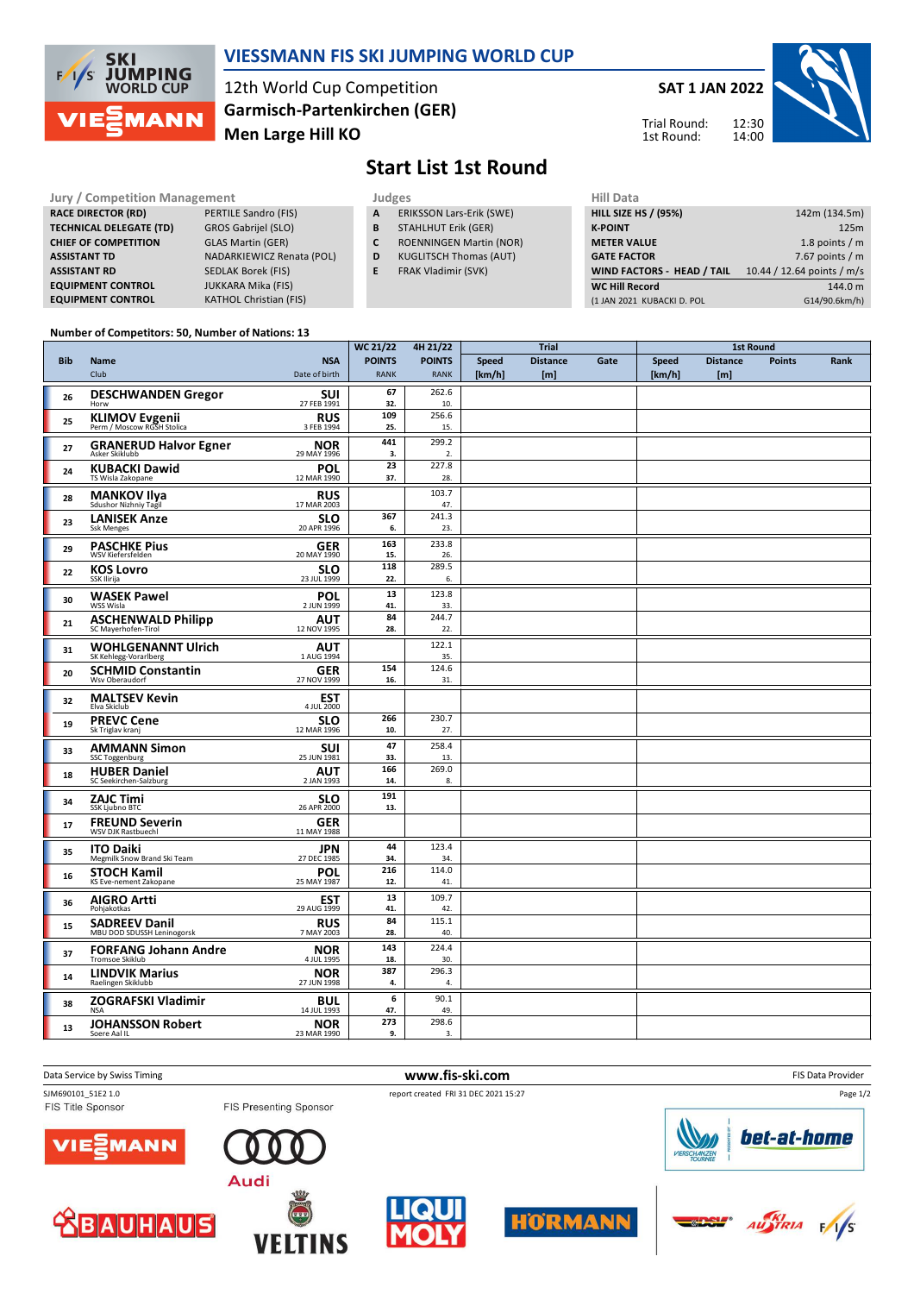

## **VIESSMANN FIS SKI JUMPING WORLD CUP**

12th World Cup Competition **Men Large Hill KO Garmisch-Partenkirchen (GER)** **SAT 1 JAN 2022**





# **Start List 1st Round**

#### Jury / Competition Management<br>**RACE DIRECTOR (RD)** PERTILE Sandro (FIS) **A ERIKSSON Lars-Erik (SWE)** HILL SIZE HILL SIZE **RACE DIRECTOR (RD) TECHNICAL DELEGATE (TD)** GROS Gabrijel (SLO) **CHIEF OF COMPETITION** GLAS Martin (GER) **ASSISTANT TD** NADARKIEWICZ Renata (POL) **ASSISTANT RD** SEDLAK Borek (FIS) **EQUIPMENT CONTROL** JUKKARA Mika (FIS) **EQUIPMENT CONTROL KATHOL Christian (FIS)**

- 
- **A** ERIKSSON Lars-Erik (SWE) **B** STAHLHUT Erik (GER)
- **C** ROENNINGEN Martin (NOR)
	-
- **E** FRAK Vladimir (SVK)
- **D** KUGLITSCH Thomas (AUT)

| 11111 <i>Data</i>                 |                            |
|-----------------------------------|----------------------------|
| <b>HILL SIZE HS / (95%)</b>       | 142m (134.5m)              |
| <b>K-POINT</b>                    | 125m                       |
| <b>METER VALUE</b>                | 1.8 points $/m$            |
| <b>GATE FACTOR</b>                | 7.67 points $/m$           |
| <b>WIND FACTORS - HEAD / TAIL</b> | 10.44 / 12.64 points / m/s |
| <b>WC Hill Record</b>             | 144.0 m                    |
| (1 JAN 2021 KUBACKI D. POL        | G14/90.6km/h)              |
|                                   |                            |

#### **Number of Competitors: 50, Number of Nations: 13**

|            |                                                    |                                               | <b>WC 21/22</b>              | 4H 21/22                     |                        | <b>Trial</b>            |      |                        | <b>1st Round</b>       |               |      |
|------------|----------------------------------------------------|-----------------------------------------------|------------------------------|------------------------------|------------------------|-------------------------|------|------------------------|------------------------|---------------|------|
| <b>Bib</b> | Name<br>Club                                       | <b>NSA</b><br>Date of birth                   | <b>POINTS</b><br><b>RANK</b> | <b>POINTS</b><br><b>RANK</b> | <b>Speed</b><br>[km/h] | <b>Distance</b><br>[ml] | Gate | <b>Speed</b><br>[km/h] | <b>Distance</b><br>[m] | <b>Points</b> | Rank |
| 26         | <b>DESCHWANDEN Gregor</b><br>Horw                  | <b>SUI</b><br>27 FEB 1991                     | 67<br>32.                    | 262.6<br>10.                 |                        |                         |      |                        |                        |               |      |
| 25         | KLIMOV Evgenii<br>Perm / Moscow RGSH Stolica       | <b>RUS</b><br>3 FEB 1994                      | 109<br>25.                   | 256.6<br>15.                 |                        |                         |      |                        |                        |               |      |
| 27         | <b>GRANERUD Halvor Egner</b><br>Asker Skiklubb     | <b>NOR</b><br>29 MAY 1996                     | 441<br>3.                    | 299.2<br>2.                  |                        |                         |      |                        |                        |               |      |
| 24         | <b>KUBACKI Dawid</b><br>TS Wisla Zakopane          | <b>POL</b><br>12 MAR 1990                     | 23<br>37.                    | 227.8<br>28.                 |                        |                         |      |                        |                        |               |      |
| 28         | <b>MANKOV Ilya</b><br>Sdushor Nizhniy Tagil        | <b>RUS</b><br>17 MAR 2003                     |                              | 103.7<br>47.                 |                        |                         |      |                        |                        |               |      |
| 23         | <b>LANISEK Anze</b><br><b>Ssk Menges</b>           | <b>SLO</b><br>20 APR 1996                     | 367<br>6.                    | 241.3<br>23.                 |                        |                         |      |                        |                        |               |      |
| 29         | <b>PASCHKE Pius</b><br>WSV Kiefersfelden           | <b>GER</b><br>20 MAY 1990                     | 163<br>15.                   | 233.8<br>26.                 |                        |                         |      |                        |                        |               |      |
| 22         | <b>KOS Lovro</b><br>SSK Ilirija                    | SLO<br>23 JUL 1999                            | 118<br>22.                   | 289.5<br>6.                  |                        |                         |      |                        |                        |               |      |
| 30         | <b>WASEK Pawel</b><br>WSS Wisla                    | <b>POL</b><br>2 JUN 1999                      | 13<br>41.                    | 123.8<br>33.                 |                        |                         |      |                        |                        |               |      |
| 21         | <b>ASCHENWALD Philipp</b><br>SC Mayerhofen-Tirol   | $\pmb{\mathsf{AUT}}_{\mathsf{12\,NOV\,1995}}$ | 84<br>28.                    | 244.7<br>22.                 |                        |                         |      |                        |                        |               |      |
| 31         | <b>WOHLGENANNT Ulrich</b><br>SK Kehlegg-Vorarlberg | AUT<br>1 AUG 1994                             |                              | 122.1<br>35.                 |                        |                         |      |                        |                        |               |      |
| 20         | <b>SCHMID Constantin</b><br>Wsv Oberaudorf         | <b>GER</b><br>27 NOV 1999                     | 154<br>16.                   | 124.6<br>31.                 |                        |                         |      |                        |                        |               |      |
| 32         | <b>MALTSEV Kevin</b><br>Elva Skiclub               | EST<br>4 JUL 2000                             |                              |                              |                        |                         |      |                        |                        |               |      |
| 19         | <b>PREVC Cene</b><br>Sk Triglav kranj              | <b>SLO</b><br>12 MAR 1996                     | 266<br>10.                   | 230.7<br>27.                 |                        |                         |      |                        |                        |               |      |
| 33         | <b>AMMANN Simon</b><br>SSC Toggenburg              | <b>SUI</b><br>25 JUN 1981                     | 47<br>33.                    | 258.4<br>13.                 |                        |                         |      |                        |                        |               |      |
| 18         | <b>HUBER Daniel</b><br>SC Seekirchen-Salzburg      | <b>AUT</b><br>2 JAN 1993                      | 166<br>14.                   | 269.0<br>8.                  |                        |                         |      |                        |                        |               |      |
| 34         | <b>ZAJC Timi</b><br>SSK Ljubno BTC                 | SLO<br>26 APR 2000                            | 191<br>13.                   |                              |                        |                         |      |                        |                        |               |      |
| 17         | <b>FREUND Severin</b><br>WSV DJK Rastbuechl        | GER<br>11 MAY 1988                            |                              |                              |                        |                         |      |                        |                        |               |      |
| 35         | <b>ITO Daiki</b><br>Megmilk Snow Brand Ski Team    | JPN<br>27 DEC 1985                            | 44<br>34.                    | 123.4<br>34.                 |                        |                         |      |                        |                        |               |      |
| 16         | <b>STOCH Kamil</b><br>KS Eve-nement Zakopane       | <b>POL</b><br>25 MAY 1987                     | 216<br>12.                   | 114.0<br>41                  |                        |                         |      |                        |                        |               |      |
| 36         | <b>AIGRO Artti</b><br>Pohjakotkas                  | <b>EST</b><br>29 AUG 1999                     | 13<br>41.                    | 109.7<br>42.                 |                        |                         |      |                        |                        |               |      |
| 15         | <b>SADREEV Danil</b><br>MBU DOD SDUSSH Leninogorsk | <b>RUS</b><br>7 MAY 2003                      | 84<br>28.                    | 115.1<br>40.                 |                        |                         |      |                        |                        |               |      |
| 37         | <b>FORFANG Johann Andre</b><br>Tromsoe Skiklub     | <b>NOR</b><br>4 JUL 1995                      | 143<br>18.                   | 224.4<br>30.                 |                        |                         |      |                        |                        |               |      |
| 14         | <b>LINDVIK Marius</b><br>Raelingen Skiklubb        | <b>NOR</b><br>27 JUN 1998                     | 387<br>4.                    | 296.3<br>4.                  |                        |                         |      |                        |                        |               |      |
| 38         | <b>ZOGRAFSKI Vladimir</b><br><b>NSA</b>            | <b>BUL</b><br>14 JUL 1993                     | 6<br>47.                     | 90.1<br>49.                  |                        |                         |      |                        |                        |               |      |
| 13         | <b>JOHANSSON Robert</b><br>Soere Aal IL            | <b>NOR</b><br>23 MAR 1990                     | 273<br>9.                    | 298.6<br>3.                  |                        |                         |      |                        |                        |               |      |

Data Service by Swiss Timing **www.fis-ski.com** FIS Data Provider SJM690101\_51E2 1.0 report created FRI 31 DEC 2021 15:27 Page 1/2FIS Title Sponsor FIS Presenting Sponsor bet-at-home MANN ЛΞ Audi